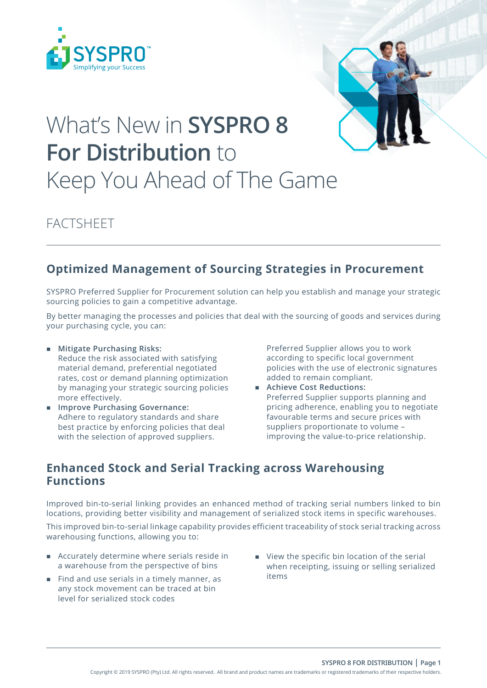



# What's New in **SYSPRO 8 For Distribution** to Keep You Ahead of The Game

FACTSHEET

## **Optimized Management of Sourcing Strategies in Procurement**

SYSPRO Preferred Supplier for Procurement solution can help you establish and manage your strategic sourcing policies to gain a competitive advantage.

By better managing the processes and policies that deal with the sourcing of goods and services during your purchasing cycle, you can:

- **Mitigate Purchasing Risks:** Reduce the risk associated with satisfying material demand, preferential negotiated rates, cost or demand planning optimization by managing your strategic sourcing policies more effectively.
- **Improve Purchasing Governance:** Adhere to regulatory standards and share best practice by enforcing policies that deal with the selection of approved suppliers.

Preferred Supplier allows you to work according to specific local government policies with the use of electronic signatures added to remain compliant.

 **Achieve Cost Reductions:** Preferred Supplier supports planning and pricing adherence, enabling you to negotiate favourable terms and secure prices with suppliers proportionate to volume – improving the value-to-price relationship.

## **Enhanced Stock and Serial Tracking across Warehousing Functions**

Improved bin-to-serial linking provides an enhanced method of tracking serial numbers linked to bin locations, providing better visibility and management of serialized stock items in specific warehouses.

This improved bin-to-serial linkage capability provides efficient traceability of stock serial tracking across warehousing functions, allowing you to:

- Accurately determine where serials reside in a warehouse from the perspective of bins
- Find and use serials in a timely manner, as any stock movement can be traced at bin level for serialized stock codes
- View the specific bin location of the serial when receipting, issuing or selling serialized items